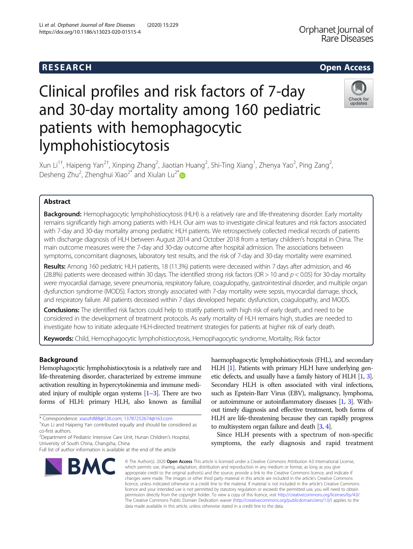Li et al. Orphanet Journal of Rare Diseases (2020) 15:229

https://doi.org/10.1186/s13023-020-01515-4

# Clinical profiles and risk factors of 7-day and 30-day mortality among 160 pediatric patients with hemophagocytic lymphohistiocytosis



Xun Li<sup>1†</sup>, Haipeng Yan<sup>2†</sup>, Xinping Zhang<sup>2</sup>, Jiaotian Huang<sup>2</sup>, Shi-Ting Xiang<sup>1</sup>, Zhenya Yao<sup>2</sup>, Ping Zang<sup>2</sup> , Desheng Zhu<sup>2</sup>, Zhenghui Xiao<sup>2\*</sup> and Xiulan Lu<sup>2\*</sup>

# Abstract

Background: Hemophagocytic lymphohistiocytosis (HLH) is a relatively rare and life-threatening disorder. Early mortality remains significantly high among patients with HLH. Our aim was to investigate clinical features and risk factors associated with 7-day and 30-day mortality among pediatric HLH patients. We retrospectively collected medical records of patients with discharge diagnosis of HLH between August 2014 and October 2018 from a tertiary children's hospital in China. The main outcome measures were the 7-day and 30-day outcome after hospital admission. The associations between symptoms, concomitant diagnoses, laboratory test results, and the risk of 7-day and 30-day mortality were examined.

Results: Among 160 pediatric HLH patients, 18 (11.3%) patients were deceased within 7 days after admission, and 46 (28.8%) patients were deceased within 30 days. The identified strong risk factors (OR  $>$  10 and  $p$  < 0.05) for 30-day mortality were myocardial damage, severe pneumonia, respiratory failure, coagulopathy, gastrointestinal disorder, and multiple organ dysfunction syndrome (MODS). Factors strongly associated with 7-day mortality were sepsis, myocardial damage, shock, and respiratory failure. All patients deceased within 7 days developed hepatic dysfunction, coagulopathy, and MODS.

Conclusions: The identified risk factors could help to stratify patients with high risk of early death, and need to be considered in the development of treatment protocols. As early mortality of HLH remains high, studies are needed to investigate how to initiate adequate HLH-directed treatment strategies for patients at higher risk of early death.

Keywords: Child, Hemophagocytic lymphohistiocytosis, Hemophagocytic syndrome, Mortality, Risk factor

# Background

Hemophagocytic lymphohistiocytosis is a relatively rare and life-threatening disorder, characterized by extreme immune activation resulting in hypercytokinemia and immune mediated injury of multiple organ systems  $[1-3]$  $[1-3]$  $[1-3]$  $[1-3]$ . There are two forms of HLH: primary HLH, also known as familial

\* Correspondence: [xiaozh888@126.com](mailto:xiaozh888@126.com); [13787252674@163.com](mailto:13787252674@163.com) †

Full list of author information is available at the end of the article



haemophagocytic lymphohistiocytosis (FHL), and secondary HLH [\[1\]](#page-9-0). Patients with primary HLH have underlying genetic defects, and usually have a family history of HLH [\[1,](#page-9-0) [3](#page-9-0)]. Secondary HLH is often associated with viral infections, such as Epstein-Barr Virus (EBV), malignancy, lymphoma, or autoimmune or autoinflammatory diseases [[1](#page-9-0), [3](#page-9-0)]. Without timely diagnosis and effective treatment, both forms of HLH are life-threatening because they can rapidly progress to multisystem organ failure and death [\[3,](#page-9-0) [4](#page-9-0)].

Since HLH presents with a spectrum of non-specific symptoms, the early diagnosis and rapid treatment

© The Author(s), 2020 **Open Access** This article is licensed under a Creative Commons Attribution 4.0 International License, which permits use, sharing, adaptation, distribution and reproduction in any medium or format, as long as you give appropriate credit to the original author(s) and the source, provide a link to the Creative Commons licence, and indicate if changes were made. The images or other third party material in this article are included in the article's Creative Commons licence, unless indicated otherwise in a credit line to the material. If material is not included in the article's Creative Commons licence and your intended use is not permitted by statutory regulation or exceeds the permitted use, you will need to obtain permission directly from the copyright holder. To view a copy of this licence, visit [http://creativecommons.org/licenses/by/4.0/.](http://creativecommons.org/licenses/by/4.0/) The Creative Commons Public Domain Dedication waiver [\(http://creativecommons.org/publicdomain/zero/1.0/](http://creativecommons.org/publicdomain/zero/1.0/)) applies to the data made available in this article, unless otherwise stated in a credit line to the data.

<sup>&</sup>lt;sup>+</sup>Xun Li and Haipeng Yan contributed equally and should be considered as co-first authors.

<sup>&</sup>lt;sup>2</sup>Department of Pediatric Intensive Care Unit, Hunan Children's Hospital, University of South China, Changsha, China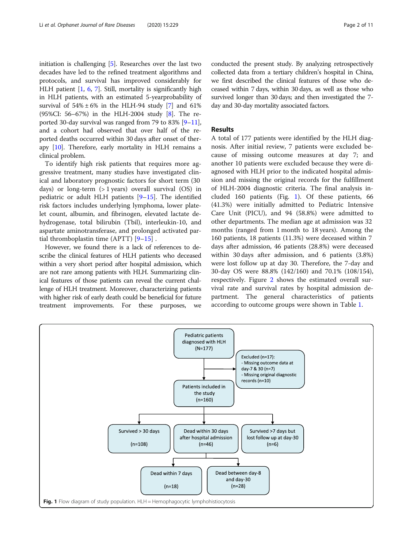initiation is challenging [\[5\]](#page-9-0). Researches over the last two decades have led to the refined treatment algorithms and protocols, and survival has improved considerably for HLH patient [\[1](#page-9-0), [6,](#page-9-0) [7](#page-9-0)]. Still, mortality is significantly high in HLH patients, with an estimated 5-yearprobability of survival of  $54\% \pm 6\%$  in the HLH-94 study [\[7](#page-9-0)] and 61% (95%CI: 56–67%) in the HLH-2004 study [[8](#page-9-0)]. The reported 30-day survival was ranged from 79 to 83%  $[9-11]$  $[9-11]$  $[9-11]$  $[9-11]$ , and a cohort had observed that over half of the reported deaths occurred within 30 days after onset of therapy [[10](#page-9-0)]. Therefore, early mortality in HLH remains a clinical problem.

To identify high risk patients that requires more aggressive treatment, many studies have investigated clinical and laboratory prognostic factors for short term (30 days) or long-term (> 1 years) overall survival (OS) in pediatric or adult HLH patients [[9](#page-9-0)–[15](#page-9-0)]. The identified risk factors includes underlying lymphoma, lower platelet count, albumin, and fibrinogen, elevated lactate dehydrogenase, total bilirubin (Tbil), interleukin-10, and aspartate aminotransferase, and prolonged activated partial thromboplastin time (APTT) [\[9](#page-9-0)–[15\]](#page-9-0) .

However, we found there is a lack of references to describe the clinical features of HLH patients who deceased within a very short period after hospital admission, which are not rare among patients with HLH. Summarizing clinical features of those patients can reveal the current challenge of HLH treatment. Moreover, characterizing patients with higher risk of early death could be beneficial for future treatment improvements. For these purposes, we

conducted the present study. By analyzing retrospectively collected data from a tertiary children's hospital in China, we first described the clinical features of those who deceased within 7 days, within 30 days, as well as those who survived longer than 30 days; and then investigated the 7 day and 30-day mortality associated factors.

# Results

A total of 177 patients were identified by the HLH diagnosis. After initial review, 7 patients were excluded because of missing outcome measures at day 7; and another 10 patients were excluded because they were diagnosed with HLH prior to the indicated hospital admission and missing the original records for the fulfillment of HLH-2004 diagnostic criteria. The final analysis included 160 patients (Fig. 1). Of these patients, 66 (41.3%) were initially admitted to Pediatric Intensive Care Unit (PICU), and 94 (58.8%) were admitted to other departments. The median age at admission was 32 months (ranged from 1 month to 18 years). Among the 160 patients, 18 patients (11.3%) were deceased within 7 days after admission, 46 patients (28.8%) were deceased within 30 days after admission, and 6 patients (3.8%) were lost follow up at day 30. Therefore, the 7-day and 30-day OS were 88.8% (142/160) and 70.1% (108/154), respectively. Figure [2](#page-2-0) shows the estimated overall survival rate and survival rates by hospital admission department. The general characteristics of patients according to outcome groups were shown in Table [1.](#page-3-0)

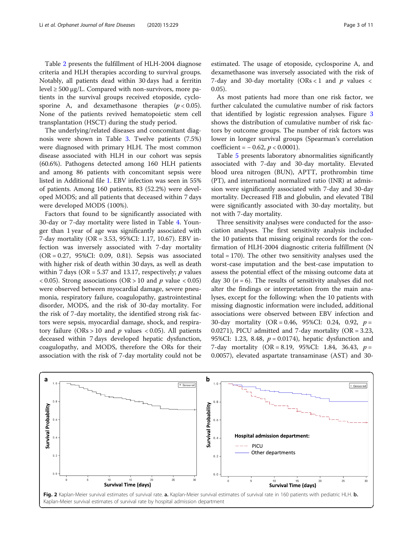<span id="page-2-0"></span>Table [2](#page-4-0) presents the fulfillment of HLH-2004 diagnose criteria and HLH therapies according to survival groups. Notably, all patients dead within 30 days had a ferritin level ≥ 500 μg/L. Compared with non-survivors, more patients in the survival groups received etoposide, cyclosporine A, and dexamethasone therapies  $(p < 0.05)$ . None of the patients revived hematopoietic stem cell transplantation (HSCT) during the study period.

The underlying/related diseases and concomitant diagnosis were shown in Table [3.](#page-5-0) Twelve patients (7.5%) were diagnosed with primary HLH. The most common disease associated with HLH in our cohort was sepsis (60.6%). Pathogens detected among 160 HLH patients and among 86 patients with concomitant sepsis were listed in Additional file [1.](#page-9-0) EBV infection was seen in 55% of patients. Among 160 patients, 83 (52.2%) were developed MODS; and all patients that deceased within 7 days were developed MODS (100%).

Factors that found to be significantly associated with 30-day or 7-day mortality were listed in Table [4](#page-6-0). Younger than 1 year of age was significantly associated with 7-day mortality (OR = 3.53, 95%CI: 1.17, 10.67). EBV infection was inversely associated with 7-day mortality (OR = 0.27, 95%CI: 0.09, 0.81). Sepsis was associated with higher risk of death within 30 days, as well as death within 7 days ( $OR = 5.37$  and 13.17, respectively; *p* values  $\langle 0.05 \rangle$ . Strong associations (OR > 10 and p value  $\langle 0.05 \rangle$ ) were observed between myocardial damage, severe pneumonia, respiratory failure, coagulopathy, gastrointestinal disorder, MODS, and the risk of 30-day mortality. For the risk of 7-day mortality, the identified strong risk factors were sepsis, myocardial damage, shock, and respiratory failure (ORs > 10 and  $p$  values < 0.05). All patients deceased within 7 days developed hepatic dysfunction, coagulopathy, and MODS, therefore the ORs for their association with the risk of 7-day mortality could not be estimated. The usage of etoposide, cyclosporine A, and dexamethasone was inversely associated with the risk of 7-day and 30-day mortality (ORs < 1 and  $p$  values < 0.05).

As most patients had more than one risk factor, we further calculated the cumulative number of risk factors that identified by logistic regression analyses. Figure [3](#page-7-0) shows the distribution of cumulative number of risk factors by outcome groups. The number of risk factors was lower in longer survival groups (Spearman's correlation coefficient =  $-0.62$ ,  $p < 0.0001$ ).

Table [5](#page-7-0) presents laboratory abnormalities significantly associated with 7-day and 30-day mortality. Elevated blood urea nitrogen (BUN), APTT, prothrombin time (PT), and international normalized ratio (INR) at admission were significantly associated with 7-day and 30-day mortality. Decreased FIB and globulin, and elevated TBil were significantly associated with 30-day mortality, but not with 7-day mortality.

Three sensitivity analyses were conducted for the association analyses. The first sensitivity analysis included the 10 patients that missing original records for the confirmation of HLH-2004 diagnostic criteria fulfillment (N total = 170). The other two sensitivity analyses used the worst-case imputation and the best-case imputation to assess the potential effect of the missing outcome data at day 30 ( $n = 6$ ). The results of sensitivity analyses did not alter the findings or interpretation from the main analyses, except for the following: when the 10 patients with missing diagnostic information were included, additional associations were observed between EBV infection and 30-day mortality (OR = 0.46, 95%CI: 0.24, 0.92,  $p =$ 0.0271), PICU admitted and 7-day mortality (OR  $= 3.23$ , 95%CI: 1.23, 8.48,  $p = 0.0174$ ), hepatic dysfunction and 7-day mortality (OR = 8.19, 95%CI: 1.84, 36.43,  $p =$ 0.0057), elevated aspartate transaminase (AST) and 30-

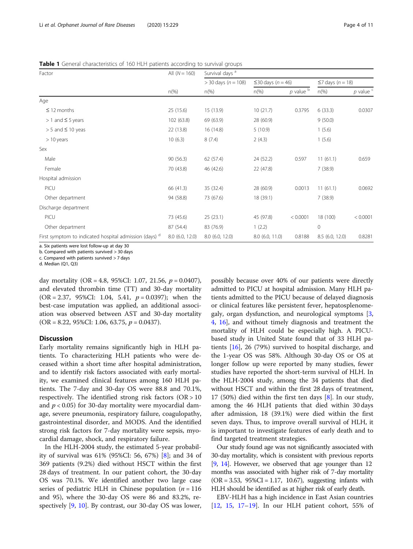<span id="page-3-0"></span>Table 1 General characteristics of 160 HLH patients according to survival groups

| Factor                                                 | All $(N = 160)$ | Survival days <sup>a</sup> |                         |               |                        |               |
|--------------------------------------------------------|-----------------|----------------------------|-------------------------|---------------|------------------------|---------------|
|                                                        | $n(\%)$         | $>$ 30 days ( $n = 108$ )  | $\leq$ 30 days (n = 46) |               | $\leq$ 7 days (n = 18) |               |
|                                                        |                 | $n\frac{9}{6}$             | $n(\%)$                 | $p$ value $b$ | $n(\%)$                | $p$ value $c$ |
| Age                                                    |                 |                            |                         |               |                        |               |
| $\leq$ 12 months                                       | 25 (15.6)       | 15 (13.9)                  | 10(21.7)                | 0.3795        | 6(33.3)                | 0.0307        |
| $> 1$ and $\leq 5$ years                               | 102 (63.8)      | 69 (63.9)                  | 28 (60.9)               |               | 9(50.0)                |               |
| $> 5$ and $\leq 10$ yeas                               | 22 (13.8)       | 16(14.8)                   | 5(10.9)                 |               | 1(5.6)                 |               |
| $> 10$ years                                           | 10(6.3)         | 8(7.4)                     | 2(4.3)                  |               | 1(5.6)                 |               |
| Sex                                                    |                 |                            |                         |               |                        |               |
| Male                                                   | 90 (56.3)       | 62 (57.4)                  | 24 (52.2)               | 0.597         | 11(61.1)               | 0.659         |
| Female                                                 | 70 (43.8)       | 46 (42.6)                  | 22 (47.8)               |               | 7(38.9)                |               |
| Hospital admission                                     |                 |                            |                         |               |                        |               |
| PICU                                                   | 66 (41.3)       | 35 (32.4)                  | 28 (60.9)               | 0.0013        | 11(61.1)               | 0.0692        |
| Other department                                       | 94 (58.8)       | 73 (67.6)                  | 18 (39.1)               |               | 7(38.9)                |               |
| Discharge department                                   |                 |                            |                         |               |                        |               |
| PICU                                                   | 73 (45.6)       | 25(23.1)                   | 45 (97.8)               | < 0.0001      | 18 (100)               | < 0.0001      |
| Other department                                       | 87 (54.4)       | 83 (76.9)                  | 1(2.2)                  |               | $\overline{0}$         |               |
| First symptom to indicated hospital admission (days) d | 8.0 (6.0, 12.0) | 8.0 (6.0, 12.0)            | $8.0$ (6.0, 11.0)       | 0.8188        | 8.5 (6.0, 12.0)        | 0.8281        |

a. Six patients were lost follow-up at day 30

b. Compared with patients survived > 30 days

c. Compared with patients survived > 7 days d. Median (Q1, Q3)

day mortality (OR = 4.8, 95%CI: 1.07, 21.56,  $p = 0.0407$ ), and elevated thrombin time (TT) and 30-day mortality (OR = 2.37, 95%CI: 1.04, 5.41,  $p = 0.0397$ ); when the best-case imputation was applied, an additional association was observed between AST and 30-day mortality  $(OR = 8.22, 95\% CI: 1.06, 63.75, p = 0.0437).$ 

#### **Discussion**

Early mortality remains significantly high in HLH patients. To characterizing HLH patients who were deceased within a short time after hospital administration, and to identify risk factors associated with early mortality, we examined clinical features among 160 HLH patients. The 7-day and 30-day OS were 88.8 and 70.1%, respectively. The identified strong risk factors (OR > 10 and  $p < 0.05$ ) for 30-day mortality were myocardial damage, severe pneumonia, respiratory failure, coagulopathy, gastrointestinal disorder, and MODS. And the identified strong risk factors for 7-day mortality were sepsis, myocardial damage, shock, and respiratory failure.

In the HLH-2004 study, the estimated 5-year probability of survival was 61% (95%CI: 56, 67%) [[8\]](#page-9-0); and 34 of 369 patients (9.2%) died without HSCT within the first 28 days of treatment. In our patient cohort, the 30-day OS was 70.1%. We identified another two large case series of pediatric HLH in Chinese population ( $n = 116$ ) and 95), where the 30-day OS were 86 and 83.2%, respectively [[9](#page-9-0), [10\]](#page-9-0). By contrast, our 30-day OS was lower,

possibly because over 40% of our patients were directly admitted to PICU at hospital admission. Many HLH patients admitted to the PICU because of delayed diagnosis or clinical features like persistent fever, hepatosplenomegaly, organ dysfunction, and neurological symptoms [\[3](#page-9-0), [4,](#page-9-0) [16\]](#page-9-0), and without timely diagnosis and treatment the mortality of HLH could be especially high. A PICUbased study in United State found that of 33 HLH patients [\[16](#page-9-0)], 26 (79%) survived to hospital discharge, and the 1-year OS was 58%. Although 30-day OS or OS at longer follow up were reported by many studies, fewer studies have reported the short-term survival of HLH. In the HLH-2004 study, among the 34 patients that died without HSCT and within the first 28 days of treatment, 17 (50%) died within the first ten days  $[8]$  $[8]$ . In our study, among the 46 HLH patients that died within 30 days after admission, 18 (39.1%) were died within the first seven days. Thus, to improve overall survival of HLH, it is important to investigate features of early death and to find targeted treatment strategies.

Our study found age was not significantly associated with 30-day mortality, which is consistent with previous reports [[9](#page-9-0), [14](#page-9-0)]. However, we observed that age younger than 12 months was associated with higher risk of 7-day mortality  $(OR = 3.53, 95\% CI = 1.17, 10.67)$ , suggesting infants with HLH should be identified as at higher risk of early death.

EBV-HLH has a high incidence in East Asian countries [[12,](#page-9-0) [15](#page-9-0), [17](#page-9-0)–[19\]](#page-10-0). In our HLH patient cohort, 55% of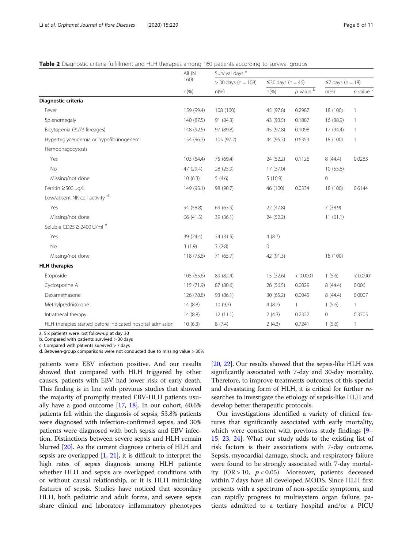# <span id="page-4-0"></span>Table 2 Diagnostic criteria fulfillment and HLH therapies among 160 patients according to survival groups

|                                                           | All $(N =$<br>160)<br>$n\frac{9}{6}$ | Survival days <sup>a</sup> |                         |                          |                        |                |
|-----------------------------------------------------------|--------------------------------------|----------------------------|-------------------------|--------------------------|------------------------|----------------|
|                                                           |                                      | $>$ 30 days (n = 108)      | $\leq$ 30 days (n = 46) |                          | $\leq$ 7 days (n = 18) |                |
|                                                           |                                      | $n(\%)$                    | $n\frac{9}{6}$          | $p$ value $\overline{p}$ | $n\left(\%\right)$     | $p$ value $c$  |
| Diagnostic criteria                                       |                                      |                            |                         |                          |                        |                |
| Fever                                                     | 159 (99.4)                           | 108 (100)                  | 45 (97.8)               | 0.2987                   | 18 (100)               | $\mathbf{1}$   |
| Splenomegaly                                              | 140 (87.5)                           | 91 (84.3)                  | 43 (93.5)               | 0.1887                   | 16 (88.9)              | $\overline{1}$ |
| Bicytopenia (≥2/3 lineages)                               | 148 (92.5)                           | 97 (89.8)                  | 45 (97.8)               | 0.1098                   | 17 (94.4)              | $\overline{1}$ |
| Hypertriglyceridemia or hypofibrinogenemi                 | 154 (96.3)                           | 105 (97.2)                 | 44 (95.7)               | 0.6353                   | 18 (100)               | $\mathbf{1}$   |
| Hemophagocytosis                                          |                                      |                            |                         |                          |                        |                |
| Yes                                                       | 103 (64.4)                           | 75 (69.4)                  | 24 (52.2)               | 0.1126                   | 8(44.4)                | 0.0283         |
| No                                                        | 47 (29.4)                            | 28 (25.9)                  | 17 (37.0)               |                          | 10(55.6)               |                |
| Missing/not done                                          | 10(6.3)                              | 5(4.6)                     | 5(10.9)                 |                          | $\mathbf 0$            |                |
| Ferritin ≥500 µg/L                                        | 149 (93.1)                           | 98 (90.7)                  | 46 (100)                | 0.0334                   | 18 (100)               | 0.6144         |
| Low/absent NK-cell activity d                             |                                      |                            |                         |                          |                        |                |
| Yes                                                       | 94 (58.8)                            | 69 (63.9)                  | 22 (47.8)               |                          | 7(38.9)                |                |
| Missing/not done                                          | 66 (41.3)                            | 39 (36.1)                  | 24 (52.2)               |                          | 11(61.1)               |                |
| Soluble CD25 ≥ 2400 U/ml $d$                              |                                      |                            |                         |                          |                        |                |
| Yes                                                       | 39 (24.4)                            | 34 (31.5)                  | 4(8.7)                  |                          |                        |                |
| <b>No</b>                                                 | 3(1.9)                               | 3(2.8)                     | $\overline{0}$          |                          |                        |                |
| Missing/not done                                          | 118 (73.8)                           | 71 (65.7)                  | 42 (91.3)               |                          | 18 (100)               |                |
| <b>HLH</b> therapies                                      |                                      |                            |                         |                          |                        |                |
| Etoposide                                                 | 105 (65.6)                           | 89 (82.4)                  | 15 (32.6)               | < 0.0001                 | 1(5.6)                 | < 0.0001       |
| Cyclosporine A                                            | 115 (71.9)                           | 87 (80.6)                  | 26(56.5)                | 0.0029                   | 8(44.4)                | 0.006          |
| Dexamethasone                                             | 126 (78.8)                           | 93 (86.1)                  | 30(65.2)                | 0.0045                   | 8(44.4)                | 0.0007         |
| Methylprednisolone                                        | 14(8.8)                              | 10(9.3)                    | 4(8.7)                  | $\mathbf{1}$             | 1(5.6)                 | 1              |
| Intrathecal therapy                                       | 14(8.8)                              | 12(11.1)                   | 2(4.3)                  | 0.2322                   | 0                      | 0.3705         |
| HLH therapies started before indicated hospital admission | 10(6.3)                              | 8(7.4)                     | 2(4.3)                  | 0.7241                   | 1(5.6)                 | $\mathbf{1}$   |

a. Six patients were lost follow-up at day 30

b. Compared with patients survived > 30 days

c. Compared with patients survived > 7 days

d. Between-group comparisons were not conducted due to missing value > 30%

patients were EBV infection positive. And our results showed that compared with HLH triggered by other causes, patients with EBV had lower risk of early death. This finding is in line with previous studies that showed the majority of promptly treated EBV-HLH patients usually have a good outcome  $[17, 18]$  $[17, 18]$  $[17, 18]$ . In our cohort, 60.6% patients fell within the diagnosis of sepsis, 53.8% patients were diagnosed with infection-confirmed sepsis, and 30% patients were diagnosed with both sepsis and EBV infection. Distinctions between severe sepsis and HLH remain blurred [\[20\]](#page-10-0). As the current diagnose criteria of HLH and sepsis are overlapped [\[1](#page-9-0), [21](#page-10-0)], it is difficult to interpret the high rates of sepsis diagnosis among HLH patients: whether HLH and sepsis are overlapped conditions with or without causal relationship, or it is HLH mimicking features of sepsis. Studies have noticed that secondary HLH, both pediatric and adult forms, and severe sepsis share clinical and laboratory inflammatory phenotypes

[[20](#page-10-0), [22](#page-10-0)]. Our results showed that the sepsis-like HLH was significantly associated with 7-day and 30-day mortality. Therefore, to improve treatments outcomes of this special and devastating form of HLH, it is critical for further researches to investigate the etiology of sepsis-like HLH and develop better therapeutic protocols.

Our investigations identified a variety of clinical features that significantly associated with early mortality, which were consistent with previous study findings [[9](#page-9-0)– [15,](#page-9-0) [23,](#page-10-0) [24\]](#page-10-0). What our study adds to the existing list of risk factors is their associations with 7-day outcome. Sepsis, myocardial damage, shock, and respiratory failure were found to be strongly associated with 7-day mortality  $(OR > 10, p < 0.05)$ . Moreover, patients deceased within 7 days have all developed MODS. Since HLH first presents with a spectrum of non-specific symptoms, and can rapidly progress to multisystem organ failure, patients admitted to a tertiary hospital and/or a PICU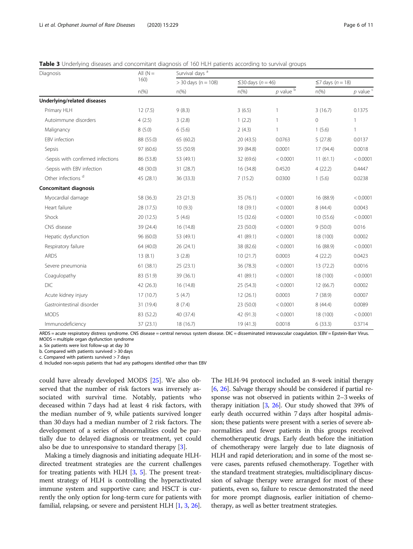<span id="page-5-0"></span>Table 3 Underlying diseases and concomitant diagnosis of 160 HLH patients according to survival groups

| Diagnosis                         | All $(N =$ | Survival days <sup>a</sup> |                         |                          |                        |                   |  |
|-----------------------------------|------------|----------------------------|-------------------------|--------------------------|------------------------|-------------------|--|
|                                   | 160)       | $>$ 30 days (n = 108)      | $\leq$ 30 days (n = 46) |                          | $\leq$ 7 days (n = 18) |                   |  |
|                                   | $n(\%)$    | $n(\%)$                    | $n(\%)$                 | $p$ value $\overline{p}$ | $n\frac{9}{6}$         | $p$ value $\circ$ |  |
| Underlying/related diseases       |            |                            |                         |                          |                        |                   |  |
| Primary HLH                       | 12(7.5)    | 9(8.3)                     | 3(6.5)                  | $\mathbf{1}$             | 3(16.7)                | 0.1375            |  |
| Autoimmune disorders              | 4(2.5)     | 3(2.8)                     | 1(2.2)                  | $\mathbf{1}$             | 0                      | 1                 |  |
| Malignancy                        | 8(5.0)     | 6(5.6)                     | 2(4.3)                  | $\mathbf{1}$             | 1(5.6)                 | 1                 |  |
| EBV infection                     | 88 (55.0)  | 65 (60.2)                  | 20 (43.5)               | 0.0763                   | 5(27.8)                | 0.0137            |  |
| Sepsis                            | 97 (60.6)  | 55 (50.9)                  | 39 (84.8)               | 0.0001                   | 17 (94.4)              | 0.0018            |  |
| -Sepsis with confirmed infections | 86 (53.8)  | 53 (49.1)                  | 32 (69.6)               | < 0.0001                 | 11(61.1)               | < 0.0001          |  |
| -Sepsis with EBV infection        | 48 (30.0)  | 31 (28.7)                  | 16 (34.8)               | 0.4520                   | 4(22.2)                | 0.4447            |  |
| Other infections <sup>d</sup>     | 45 (28.1)  | 36 (33.3)                  | 7(15.2)                 | 0.0300                   | 1(5.6)                 | 0.0238            |  |
| <b>Concomitant diagnosis</b>      |            |                            |                         |                          |                        |                   |  |
| Myocardial damage                 | 58 (36.3)  | 23(21.3)                   | 35 (76.1)               | < 0.0001                 | 16 (88.9)              | < 0.0001          |  |
| Heart failure                     | 28 (17.5)  | 10(9.3)                    | 18 (39.1)               | < 0.0001                 | 8(44.4)                | 0.0043            |  |
| Shock                             | 20 (12.5)  | 5(4.6)                     | 15 (32.6)               | < 0.0001                 | 10(55.6)               | < 0.0001          |  |
| CNS disease                       | 39 (24.4)  | 16 (14.8)                  | 23 (50.0)               | < 0.0001                 | 9(50.0)                | 0.016             |  |
| Hepatic dysfunction               | 96 (60.0)  | 53 (49.1)                  | 41 (89.1)               | < 0.0001                 | 18 (100)               | 0.0002            |  |
| Respiratory failure               | 64 (40.0)  | 26(24.1)                   | 38 (82.6)               | < 0.0001                 | 16 (88.9)              | < 0.0001          |  |
| <b>ARDS</b>                       | 13(8.1)    | 3(2.8)                     | 10(21.7)                | 0.0003                   | 4(22.2)                | 0.0423            |  |
| Severe pneumonia                  | 61(38.1)   | 25(23.1)                   | 36 (78.3)               | < 0.0001                 | 13 (72.2)              | 0.0016            |  |
| Coagulopathy                      | 83 (51.9)  | 39 (36.1)                  | 41 (89.1)               | < 0.0001                 | 18 (100)               | < 0.0001          |  |
| <b>DIC</b>                        | 42 (26.3)  | 16 (14.8)                  | 25 (54.3)               | < 0.0001                 | 12(66.7)               | 0.0002            |  |
| Acute kidney injury               | 17(10.7)   | 5(4.7)                     | 12(26.1)                | 0.0003                   | 7(38.9)                | 0.0007            |  |
| Gastrointestinal disorder         | 31 (19.4)  | 8(7.4)                     | 23 (50.0)               | < 0.0001                 | 8(44.4)                | 0.0089            |  |
| <b>MODS</b>                       | 83 (52.2)  | 40 (37.4)                  | 42 (91.3)               | < 0.0001                 | 18 (100)               | < 0.0001          |  |
| Immunodeficiency                  | 37(23.1)   | 18 (16.7)                  | 19 (41.3)               | 0.0018                   | 6(33.3)                | 0.3714            |  |

ARDS = acute respiratory distress syndrome. CNS disease = central nervous system disease. DIC = disseminated intravascular coagulation. EBV = Epstein-Barr Virus. MODS = multiple organ dysfunction syndrome

a. Six patients were lost follow-up at day 30

b. Compared with patients survived > 30 days

c. Compared with patients survived > 7 days

d. Included non-sepsis patients that had any pathogens identified other than EBV

could have already developed MODS [[25](#page-10-0)]. We also observed that the number of risk factors was inversely associated with survival time. Notably, patients who deceased within 7 days had at least 4 risk factors, with the median number of 9, while patients survived longer than 30 days had a median number of 2 risk factors. The development of a series of abnormalities could be partially due to delayed diagnosis or treatment, yet could also be due to unresponsive to standard therapy [[3\]](#page-9-0).

Making a timely diagnosis and initiating adequate HLHdirected treatment strategies are the current challenges for treating patients with HLH [[3,](#page-9-0) [5](#page-9-0)]. The present treatment strategy of HLH is controlling the hyperactivated immune system and supportive care; and HSCT is currently the only option for long-term cure for patients with familial, relapsing, or severe and persistent HLH [\[1](#page-9-0), [3,](#page-9-0) [26](#page-10-0)].

The HLH-94 protocol included an 8-week initial therapy [[6,](#page-9-0) [26](#page-10-0)]. Salvage therapy should be considered if partial response was not observed in patients within 2–3 weeks of therapy initiation  $[3, 26]$  $[3, 26]$  $[3, 26]$  $[3, 26]$  $[3, 26]$ . Our study showed that 39% of early death occurred within 7 days after hospital admission; these patients were present with a series of severe abnormalities and fewer patients in this groups received chemotherapeutic drugs. Early death before the initiation of chemotherapy were largely due to late diagnosis of HLH and rapid deterioration; and in some of the most severe cases, parents refused chemotherapy. Together with the standard treatment strategies, multidisciplinary discussion of salvage therapy were arranged for most of these patients, even so, failure to rescue demonstrated the need for more prompt diagnosis, earlier initiation of chemotherapy, as well as better treatment strategies.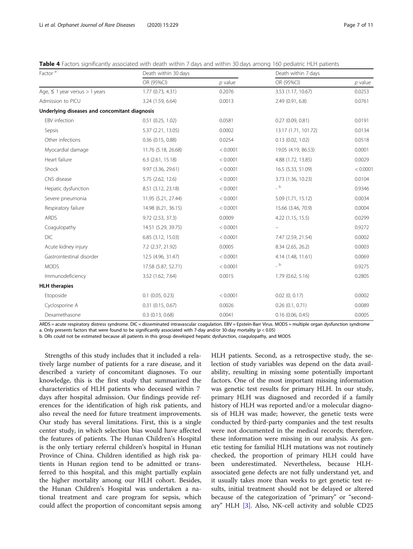| Factor <sup>a</sup>                                 | Death within 30 days |                | Death within 7 days |         |  |
|-----------------------------------------------------|----------------------|----------------|---------------------|---------|--|
|                                                     | OR (95%CI)           | <i>p</i> value | OR (95%CI)          | p value |  |
| Age, $\leq 1$ year versus $> 1$ years               | 1.77(0.73, 4.31)     | 0.2076         | 3.53 (1.17, 10.67)  | 0.0253  |  |
| Admission to PICU                                   | 3.24 (1.59, 6.64)    | 0.0013         | 2.49(0.91, 6.8)     | 0.0761  |  |
| <b>Inderwing diseases and concomitant diagnosis</b> |                      |                |                     |         |  |

<span id="page-6-0"></span>Table 4 Factors significantly associated with death within 7 days and within 30 days among 160 pediatric HLH patients

| 3.24 (1.59, 6.64)                             | 0.0013   | 2.49 (0.91, 6.8)     | 0.0/61   |
|-----------------------------------------------|----------|----------------------|----------|
| Underlying diseases and concomitant diagnosis |          |                      |          |
| $0.51$ $(0.25, 1.02)$                         | 0.0581   | 0.27(0.09, 0.81)     | 0.0191   |
| 5.37 (2.21, 13.05)                            | 0.0002   | 13.17 (1.71, 101.72) | 0.0134   |
| $0.36$ $(0.15, 0.88)$                         | 0.0254   | 0.13(0.02, 1.02)     | 0.0518   |
| 11.76 (5.18, 26.68)                           | < 0.0001 | 19.05 (4.19, 86.53)  | 0.0001   |
| $6.3$ $(2.61, 15.18)$                         | < 0.0001 | 4.88 (1.72, 13.85)   | 0.0029   |
| 9.97 (3.36, 29.61)                            | < 0.0001 | 16.5 (5.33, 51.09)   | < 0.0001 |
| 5.75 (2.62, 12.6)                             | < 0.0001 | 3.73 (1.36, 10.23)   | 0.0104   |
| 8.51 (3.12, 23.18)                            | < 0.0001 | $-$ b                | 0.9346   |
| 11.95 (5.21, 27.44)                           | < 0.0001 | 5.09 (1.71, 15.12)   | 0.0034   |
| 14.98 (6.21, 36.15)                           | < 0.0001 | 15.66 (3.46, 70.9)   | 0.0004   |
| 9.72 (2.53, 37.3)                             | 0.0009   | 4.22 (1.15, 15.5)    | 0.0299   |
| 14.51 (5.29, 39.75)                           | < 0.0001 |                      | 0.9272   |
| 6.85 (3.12, 15.03)                            | < 0.0001 | 7.47 (2.59, 21.54)   | 0.0002   |
| 7.2 (2.37, 21.92)                             | 0.0005   | 8.34 (2.65, 26.2)    | 0.0003   |
| 12.5 (4.96, 31.47)                            | < 0.0001 | 4.14 (1.48, 11.61)   | 0.0069   |
| 17.58 (5.87, 52.71)                           | < 0.0001 | $-$ b                | 0.9275   |
| 3.52 (1.62, 7.64)                             | 0.0015   | 1.79(0.62, 5.16)     | 0.2805   |
|                                               |          |                      |          |
| $0.1$ (0.05, 0.23)                            | < 0.0001 | $0.02$ $(0, 0.17)$   | 0.0002   |
| $0.31$ $(0.15, 0.67)$                         | 0.0026   | $0.26$ $(0.1, 0.71)$ | 0.0089   |
| $0.3$ $(0.13, 0.68)$                          | 0.0041   | $0.16$ (0.06, 0.45)  | 0.0005   |
|                                               |          |                      |          |

ARDS = acute respiratory distress syndrome. DIC = disseminated intravascular coagulation. EBV = Epstein-Barr Virus. MODS = multiple organ dysfunction syndrome a. Only presents factors that were found to be significantly associated with 7-day and/or 30-day mortality ( $p < 0.05$ )

b. ORs could not be estimated because all patients in this group developed hepatic dysfunction, coagulopathy, and MODS

Strengths of this study includes that it included a relatively large number of patients for a rare disease, and it described a variety of concomitant diagnoses. To our knowledge, this is the first study that summarized the characteristics of HLH patients who deceased within 7 days after hospital admission. Our findings provide references for the identification of high risk patients, and also reveal the need for future treatment improvements. Our study has several limitations. First, this is a single center study, in which selection bias would have affected the features of patients. The Hunan Children's Hospital is the only tertiary referral children's hospital in Hunan Province of China. Children identified as high risk patients in Hunan region tend to be admitted or transferred to this hospital, and this might partially explain the higher mortality among our HLH cohort. Besides, the Hunan Children's Hospital was undertaken a national treatment and care program for sepsis, which could affect the proportion of concomitant sepsis among HLH patients. Second, as a retrospective study, the selection of study variables was depend on the data availability, resulting in missing some potentially important factors. One of the most important missing information was genetic test results for primary HLH. In our study, primary HLH was diagnosed and recorded if a family history of HLH was reported and/or a molecular diagnosis of HLH was made; however, the genetic tests were conducted by third-party companies and the test results were not documented in the medical records; therefore, these information were missing in our analysis. As genetic testing for familial HLH mutations was not routinely checked, the proportion of primary HLH could have been underestimated. Nevertheless, because HLHassociated gene defects are not fully understand yet, and it usually takes more than weeks to get genetic test results, initial treatment should not be delayed or altered because of the categorization of "primary" or "secondary" HLH [\[3](#page-9-0)]. Also, NK-cell activity and soluble CD25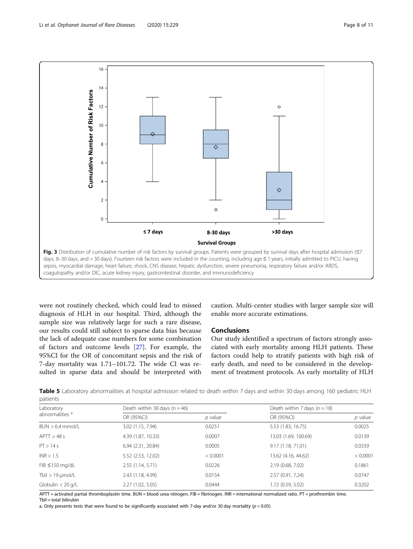<span id="page-7-0"></span>

were not routinely checked, which could lead to missed diagnosis of HLH in our hospital. Third, although the sample size was relatively large for such a rare disease, our results could still subject to sparse data bias because the lack of adequate case numbers for some combination of factors and outcome levels [[27\]](#page-10-0). For example, the 95%CI for the OR of concomitant sepsis and the risk of 7-day mortality was 1.71–101.72. The wide CI was resulted in sparse data and should be interpreted with

caution. Multi-center studies with larger sample size will enable more accurate estimations.

# Conclusions

Our study identified a spectrum of factors strongly associated with early mortality among HLH patients. These factors could help to stratify patients with high risk of early death, and need to be considered in the development of treatment protocols. As early mortality of HLH

Table 5 Laboratory abnormalities at hospital admission related to death within 7 days and within 30 days among 160 pediatric HLH patients

| Laboratory<br>abnormalities <sup>a</sup> |                    | Death within 30 days $(n = 46)$ |                      | Death within 7 days $(n = 18)$ |  |  |
|------------------------------------------|--------------------|---------------------------------|----------------------|--------------------------------|--|--|
|                                          | OR (95%CI)         | $p$ value                       | OR (95%CI)           | $p$ value                      |  |  |
| $BUN > 6.4$ mmol/L                       | 3.02 (1.15, 7.94)  | 0.0251                          | 5.53 (1.83, 16.75)   | 0.0025                         |  |  |
| APTT > 48s                               | 4.39 (1.87, 10.33) | 0.0007                          | 13.03 (1.69, 100.69) | 0.0139                         |  |  |
| PT > 14 s                                | 6.94 (2.31, 20.84) | 0.0005                          | 9.17 (1.18, 71.01)   | 0.0339                         |  |  |
| INR > 1.5                                | 5.52 (2.53, 12.02) | < 0.0001                        | 13.62 (4.16, 44.62)  | < 0.0001                       |  |  |
| $FIB \leq 150$ mg/dL                     | 2.55(1.14, 5.71)   | 0.0226                          | 2.19 (0.68, 7.02)    | 0.1861                         |  |  |
| Tbil $>$ 19 $\mu$ mol/L                  | 2.43 (1.18, 4.99)  | 0.0154                          | 2.57(0.91, 7.24)     | 0.0747                         |  |  |
| Globulin $<$ 20 g/L                      | 2.27 (1.02, 5.05)  | 0.0444                          | 1.72 (0.59, 5.02)    | 0.3202                         |  |  |

APTT = activated partial thromboplastin time. BUN = blood urea nitrogen. FIB = fibrinogen. INR = international normalized ratio. PT = prothrombin time. Tbil = total bilirubin

a. Only presents tests that were found to be significantly associated with 7-day and/or 30 day mortality ( $p < 0.05$ )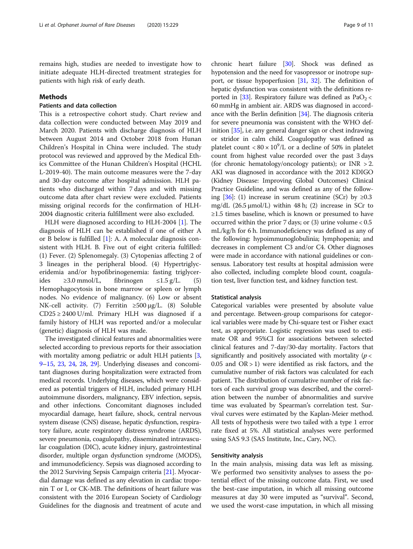remains high, studies are needed to investigate how to initiate adequate HLH-directed treatment strategies for patients with high risk of early death.

# Methods

# Patients and data collection

This is a retrospective cohort study. Chart review and data collection were conducted between May 2019 and March 2020. Patients with discharge diagnosis of HLH between August 2014 and October 2018 from Hunan Children's Hospital in China were included. The study protocol was reviewed and approved by the Medical Ethics Committee of the Hunan Children's Hospital (HCHL L-2019-40). The main outcome measures were the 7-day and 30-day outcome after hospital admission. HLH patients who discharged within 7 days and with missing outcome data after chart review were excluded. Patients missing original records for the confirmation of HLH-2004 diagnostic criteria fulfillment were also excluded.

HLH were diagnosed according to HLH-2004 [[1\]](#page-9-0). The diagnosis of HLH can be established if one of either A or B below is fulfilled [[1\]](#page-9-0): A. A molecular diagnosis consistent with HLH. B. Five out of eight criteria fulfilled: (1) Fever. (2) Splenomegaly. (3) Cytopenias affecting 2 of 3 lineages in the peripheral blood. (4) Hypertriglyceridemia and/or hypofibrinogenemia: fasting triglycerides ≥3.0 mmol/L, fibrinogen ≤1.5 g/L. (5) Hemophagocytosis in bone marrow or spleen or lymph nodes. No evidence of malignancy. (6) Low or absent NK-cell activity. (7) Ferritin  $\geq 500 \mu g/L$ . (8) Soluble  $CD25 \geq 2400$  U/ml. Primary HLH was diagnosed if a family history of HLH was reported and/or a molecular (genetic) diagnosis of HLH was made.

The investigated clinical features and abnormalities were selected according to previous reports for their association with mortality among pediatric or adult HLH patients [[3](#page-9-0), [9](#page-9-0)–[15,](#page-9-0) [23,](#page-10-0) [24,](#page-10-0) [28](#page-10-0), [29](#page-10-0)]. Underlying diseases and concomitant diagnoses during hospitalization were extracted from medical records. Underlying diseases, which were considered as potential triggers of HLH, included primary HLH autoimmune disorders, malignancy, EBV infection, sepsis, and other infections. Concomitant diagnoses included myocardial damage, heart failure, shock, central nervous system disease (CNS) disease, hepatic dysfunction, respiratory failure, acute respiratory distress syndrome (ARDS), severe pneumonia, coagulopathy, disseminated intravascular coagulation (DIC), acute kidney injury, gastrointestinal disorder, multiple organ dysfunction syndrome (MODS), and immunodeficiency. Sepsis was diagnosed according to the 2012 Surviving Sepsis Campaign criteria [[21](#page-10-0)]. Myocardial damage was defined as any elevation in cardiac troponin T or I, or CK-MB. The definitions of heart failure was consistent with the 2016 European Society of Cardiology Guidelines for the diagnosis and treatment of acute and

chronic heart failure [\[30\]](#page-10-0). Shock was defined as hypotension and the need for vasopressor or inotrope support, or tissue hypoperfusion [\[31](#page-10-0), [32](#page-10-0)]. The definition of hepatic dysfunction was consistent with the definitions re-ported in [\[33\]](#page-10-0). Respiratory failure was defined as  $PaO<sub>2</sub>$  < 60 mmHg in ambient air. ARDS was diagnosed in accordance with the Berlin definition [[34](#page-10-0)]. The diagnosis criteria for severe pneumonia was consistent with the WHO definition [[35](#page-10-0)], i.e. any general danger sign or chest indrawing or stridor in calm child. Coagulopathy was defined as platelet count <  $80 \times 10^9$ /L or a decline of 50% in platelet count from highest value recorded over the past 3 days (for chronic hematology/oncology patients); or  $INR > 2$ . AKI was diagnosed in accordance with the 2012 KDIGO (Kidney Disease: Improving Global Outcomes) Clinical Practice Guideline, and was defined as any of the follow-ing [[36](#page-10-0)]: (1) increase in serum creatinine (SCr) by  $\geq 0.3$ mg/dL  $(26.5 \mu \text{mol/L})$  within 48 h; (2) increase in SCr to ≥1.5 times baseline, which is known or presumed to have occurred within the prior 7 days; or (3) urine volume < 0.5 mL/kg/h for 6 h. Immunodeficiency was defined as any of the following: hypoimmunoglobulinia; lymphopenia; and decreases in complement C3 and/or C4. Other diagnoses were made in accordance with national guidelines or consensus. Laboratory test results at hospital admission were also collected, including complete blood count, coagulation test, liver function test, and kidney function test.

#### Statistical analysis

Categorical variables were presented by absolute value and percentage. Between-group comparisons for categorical variables were made by Chi-square test or Fisher exact test, as appropriate. Logistic regression was used to estimate OR and 95%CI for associations between selected clinical features and 7-day/30-day mortality. Factors that significantly and positively associated with mortality ( $p <$ 0.05 and  $OR > 1$ ) were identified as risk factors, and the cumulative number of risk factors was calculated for each patient. The distribution of cumulative number of risk factors of each survival group was described, and the correlation between the number of abnormalities and survive time was evaluated by Spearman's correlation test. Survival curves were estimated by the Kaplan-Meier method. All tests of hypothesis were two tailed with a type 1 error rate fixed at 5%. All statistical analyses were performed using SAS 9.3 (SAS Institute, Inc., Cary, NC).

# Sensitivity analysis

In the main analysis, missing data was left as missing. We performed two sensitivity analyses to assess the potential effect of the missing outcome data. First, we used the best-case imputation, in which all missing outcome measures at day 30 were imputed as "survival". Second, we used the worst-case imputation, in which all missing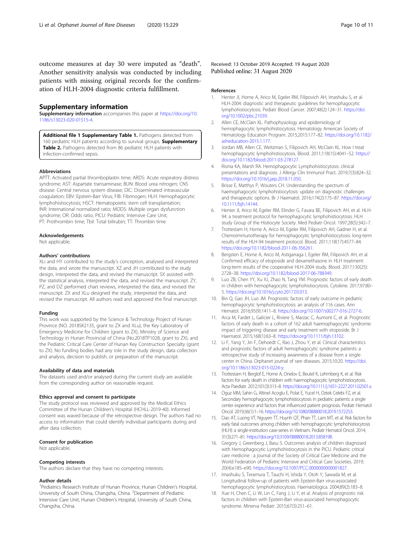<span id="page-9-0"></span>outcome measures at day 30 were imputed as "death". Another sensitivity analysis was conducted by including patients with missing original records for the confirmation of HLH-2004 diagnostic criteria fulfillment.

# Supplementary information

Supplementary information accompanies this paper at [https://doi.org/10.](https://doi.org/10.1186/s13023-020-01515-4) [1186/s13023-020-01515-4](https://doi.org/10.1186/s13023-020-01515-4).

Additional file 1 Supplementary Table 1. Pathogens detected from 160 pediatric HLH patients according to survival groups. Supplementary Table 2. Pathogens detected from 86 pediatric HLH patients with infection-confirmed sepsis.

#### Abbreviations

APTT: Activated partial thromboplastin time; ARDS: Acute respiratory distress syndrome; AST: Aspartate transaminase; BUN: Blood urea nitrogen; CNS disease: Central nervous system disease; DIC: Disseminated intravascular coagulation; EBV: Epstein-Barr Virus; FIB: Fibrinogen; HLH: Hemophagocytic lymphohistiocytosis; HSCT: Hematopoietic stem cell transplantation; INR: International normalized ratio; MODS: Multiple organ dysfunction syndrome; OR: Odds ratio; PICU: Pediatric Intensive Care Unit; PT: Prothrombin time; Tbil: Total bilirubin; TT: Thrombin time

#### Acknowledgements

Not applicable.

#### Authors' contributions

XLi and HY contributed to the study's conception, analysed and interpreted the data, and wrote the manuscript. XZ and JH contributed to the study design, interpreted the data, and revised the manuscript. SX assisted with the statistical analysis, interpreted the data, and revised the manuscript. ZY, PZ, and DZ performed chart reviews, interpreted the data, and revised the manuscript. ZX and XLu designed the study, interpreted the data, and revised the manuscript. All authors read and approved the final manuscript.

#### Funding

This work was supported by the Science & Technology Project of Hunan Province (NO. 2018SK2135, grant to ZX and XLu), the Key Laboratory of Emergency Medicine for Children (grant to ZX), Ministry of Science and Technology in Hunan Provincial of China (No.2018TP1028, grant to ZX), and the Pediatric Critical Care Center of Hunan Key Construction Specialty (grant to ZX). No funding bodies had any role in the study design, data collection and analysis, decision to publish, or preparation of the manuscript.

#### Availability of data and materials

The datasets used and/or analysed during the current study are available from the corresponding author on reasonable request.

### Ethics approval and consent to participate

The study protocol was reviewed and approved by the Medical Ethics Committee of the Hunan Children's Hospital (HCHLL-2019-40). Informed consent was waved because of the retrospective design. The authors had no access to information that could identify individual participants during and after data collection.

#### Consent for publication

Not applicable.

#### Competing interests

The authors declare that they have no competing interests.

#### Author details

<sup>1</sup> Pediatrics Research Institute of Hunan Province, Hunan Children's Hospital, University of South China, Changsha, China. <sup>2</sup>Department of Pediatric Intensive Care Unit, Hunan Children's Hospital, University of South China, Changsha, China.

Received: 13 October 2019 Accepted: 19 August 2020 Published online: 31 August 2020

#### References

- 1. Henter JI, Horne A, Arico M, Egeler RM, Filipovich AH, Imashuku S, et al. HLH-2004: diagnostic and therapeutic guidelines for hemophagocytic lymphohistiocytosis. Pediatr Blood Cancer. 2007;48(2):124–31. [https://doi.](https://doi.org/10.1002/pbc.21039) [org/10.1002/pbc.21039](https://doi.org/10.1002/pbc.21039).
- 2. Allen CE, McClain KL. Pathophysiology and epidemiology of hemophagocytic lymphohistiocytosis. Hematology American Society of Hematology Education Program. 2015;2015:177–82. [https://doi.org/10.1182/](https://doi.org/10.1182/asheducation-2015.1.177) [asheducation-2015.1.177.](https://doi.org/10.1182/asheducation-2015.1.177)
- 3. Jordan MB, Allen CE, Weitzman S, Filipovich AH, McClain KL. How I treat hemophagocytic lymphohistiocytosis. Blood. 2011;118(15):4041–52. [https://](https://doi.org/10.1182/blood-2011-03-278127) [doi.org/10.1182/blood-2011-03-278127](https://doi.org/10.1182/blood-2011-03-278127).
- 4. Risma KA, Marsh RA. Hemophagocytic Lymphohistiocytosis: clinical presentations and diagnosis. J Allergy Clin Immunol Pract. 2019;7(3):824–32. [https://doi.org/10.1016/j.jaip.2018.11.050.](https://doi.org/10.1016/j.jaip.2018.11.050)
- 5. Brisse E, Matthys P, Wouters CH. Understanding the spectrum of haemophagocytic lymphohistiocytosis: update on diagnostic challenges and therapeutic options. Br J Haematol. 2016;174(2):175–87. [https://doi.org/](https://doi.org/10.1111/bjh.14144) [10.1111/bjh.14144](https://doi.org/10.1111/bjh.14144).
- 6. Henter JI, Arico M, Egeler RM, Elinder G, Favara BE, Filipovich AH, et al. HLH-94: a treatment protocol for hemophagocytic lymphohistiocytosis. HLH study Group of the Histiocyte Society. Med Pediatr Oncol. 1997;28(5):342–7.
- 7. Trottestam H, Horne A, Arico M, Egeler RM, Filipovich AH, Gadner H, et al. Chemoimmunotherapy for hemophagocytic lymphohistiocytosis: long-term results of the HLH-94 treatment protocol. Blood. 2011;118(17):4577–84. [https://doi.org/10.1182/blood-2011-06-356261.](https://doi.org/10.1182/blood-2011-06-356261)
- Bergsten E, Horne A, Arico M, Astigarraga I, Egeler RM, Filipovich AH, et al. Confirmed efficacy of etoposide and dexamethasone in HLH treatment: long-term results of the cooperative HLH-2004 study. Blood. 2017;130(25): 2728–38. <https://doi.org/10.1182/blood-2017-06-788349>.
- 9. Luo ZB, Chen YY, Xu XJ, Zhao N, Tang YM. Prognostic factors of early death in children with hemophagocytic lymphohistiocytosis. Cytokine. 2017;97:80– 5. [https://doi.org/10.1016/j.cyto.2017.03.013.](https://doi.org/10.1016/j.cyto.2017.03.013)
- 10. Bin Q, Gao JH, Luo JM. Prognostic factors of early outcome in pediatric hemophagocytic lymphohistiocytosis: an analysis of 116 cases. Ann Hematol. 2016;95(9):1411–8. [https://doi.org/10.1007/s00277-016-2727-6.](https://doi.org/10.1007/s00277-016-2727-6)
- 11. Arca M, Fardet L, Galicier L, Riviere S, Marzac C, Aumont C, et al. Prognostic factors of early death in a cohort of 162 adult haemophagocytic syndrome: impact of triggering disease and early treatment with etoposide. Br J Haematol. 2015;168(1):63–8. [https://doi.org/10.1111/bjh.13102.](https://doi.org/10.1111/bjh.13102)
- 12. Li F, Yang Y, Jin F, Dehoedt C, Rao J, Zhou Y, et al. Clinical characteristics and prognostic factors of adult hemophagocytic syndrome patients: a retrospective study of increasing awareness of a disease from a singlecenter in China. Orphanet journal of rare diseases. 2015;10:20. [https://doi.](https://doi.org/10.1186/s13023-015-0224-y) [org/10.1186/s13023-015-0224-y.](https://doi.org/10.1186/s13023-015-0224-y)
- 13. Trottestam H, Berglof E, Horne A, Onelov E, Beutel K, Lehmberg K, et al. Risk factors for early death in children with haemophagocytic lymphohistiocytosis. Acta Paediatr. 2012;101(3):313-8. [https://doi.org/10.1111/j.1651-2227.2011.02501.x.](https://doi.org/10.1111/j.1651-2227.2011.02501.x)
- 14. Oguz MM, Sahin G, Altinel Acoglu E, Polat E, Yucel H, Oztek Celebi FZ, et al. Secondary hemophagocytic lymphohistiocytosis in pediatric patients: a single center experience and factors that influenced patient prognosis. Pediatr Hematol Oncol. 2019;36(1):1–16. <https://doi.org/10.1080/08880018.2019.1572253>.
- 15. Dao AT, Luong VT, Nguyen TT, Huynh QT, Phan TT, Lam MT, et al. Risk factors for early fatal outcomes among children with hemophagocytic lymphohistiocytosis (HLH): a single-institution case-series in Vietnam. Pediatr Hematol Oncol. 2014; 31(3):271–81. [https://doi.org/10.3109/08880018.2013.858198.](https://doi.org/10.3109/08880018.2013.858198)
- 16. Gregory J, Greenberg J, Basu S. Outcomes analysis of children diagnosed with Hemophagocytic Lymphohistiocytosis in the PICU. Pediatric critical care medicine : a journal of the Society of Critical Care Medicine and the World Federation of Pediatric Intensive and Critical Care Societies. 2019; 20(4):e185–e90. <https://doi.org/10.1097/PCC.0000000000001827>.
- 17. Imashuku S, Teramura T, Tauchi H, Ishida Y, Otoh Y, Sawada M, et al. Longitudinal follow-up of patients with Epstein-Barr virus-associated hemophagocytic lymphohistiocytosis. Haematologica. 2004;89(2):183–8.
- 18. Xue H, Chen C, Li W, Lin C, Fang J, Li Y, et al. Analysis of prognostic risk factors in children with Epstein-Barr virus-associated hemophagocytic syndrome. Minerva Pediatr. 2015;67(3):251–61.